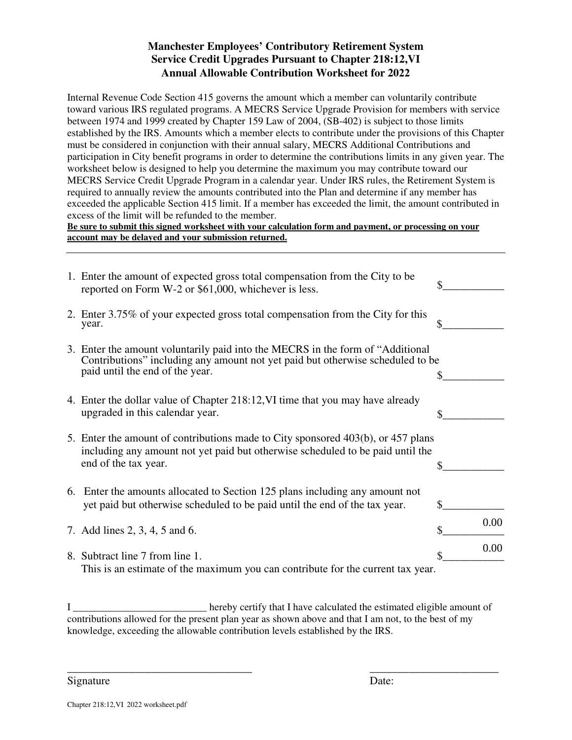## **Manchester Employees' Contributory Retirement System Service Credit Upgrades Pursuant to Chapter 218:12,VI Annual Allowable Contribution Worksheet for 2022**

Internal Revenue Code Section 415 governs the amount which a member can voluntarily contribute toward various IRS regulated programs. A MECRS Service Upgrade Provision for members with service between 1974 and 1999 created by Chapter 159 Law of 2004, (SB-402) is subject to those limits established by the IRS. Amounts which a member elects to contribute under the provisions of this Chapter must be considered in conjunction with their annual salary, MECRS Additional Contributions and participation in City benefit programs in order to determine the contributions limits in any given year. The worksheet below is designed to help you determine the maximum you may contribute toward our MECRS Service Credit Upgrade Program in a calendar year. Under IRS rules, the Retirement System is required to annually review the amounts contributed into the Plan and determine if any member has exceeded the applicable Section 415 limit. If a member has exceeded the limit, the amount contributed in excess of the limit will be refunded to the member.

**Be sure to submit this signed worksheet with your calculation form and payment, or processing on your account may be delayed and your submission returned.**

| 1. Enter the amount of expected gross total compensation from the City to be<br>reported on Form W-2 or \$61,000, whichever is less.                                                                 |            |
|------------------------------------------------------------------------------------------------------------------------------------------------------------------------------------------------------|------------|
| 2. Enter 3.75% of your expected gross total compensation from the City for this<br>year.                                                                                                             |            |
| 3. Enter the amount voluntarily paid into the MECRS in the form of "Additional"<br>Contributions" including any amount not yet paid but otherwise scheduled to be<br>paid until the end of the year. |            |
| 4. Enter the dollar value of Chapter 218:12, VI time that you may have already<br>upgraded in this calendar year.                                                                                    | \$         |
| 5. Enter the amount of contributions made to City sponsored 403(b), or 457 plans<br>including any amount not yet paid but otherwise scheduled to be paid until the<br>end of the tax year.           |            |
| 6. Enter the amounts allocated to Section 125 plans including any amount not<br>yet paid but otherwise scheduled to be paid until the end of the tax year.                                           |            |
| 7. Add lines 2, 3, 4, 5 and 6.                                                                                                                                                                       | \$<br>0.00 |
| 8. Subtract line 7 from line 1.<br>This is an estimate of the maximum you can contribute for the current tax year.                                                                                   | 0.00       |

I \_\_\_\_\_\_\_\_\_\_\_\_\_\_\_\_\_\_\_\_\_\_\_\_\_\_ hereby certify that I have calculated the estimated eligible amount of contributions allowed for the present plan year as shown above and that I am not, to the best of my knowledge, exceeding the allowable contribution levels established by the IRS.

Signature

\_\_\_\_\_\_\_\_\_\_\_\_\_\_\_\_\_\_\_\_\_\_\_

\_\_\_\_\_\_\_\_\_\_\_\_\_\_\_\_\_\_\_\_\_\_\_\_\_\_\_\_\_\_\_\_\_